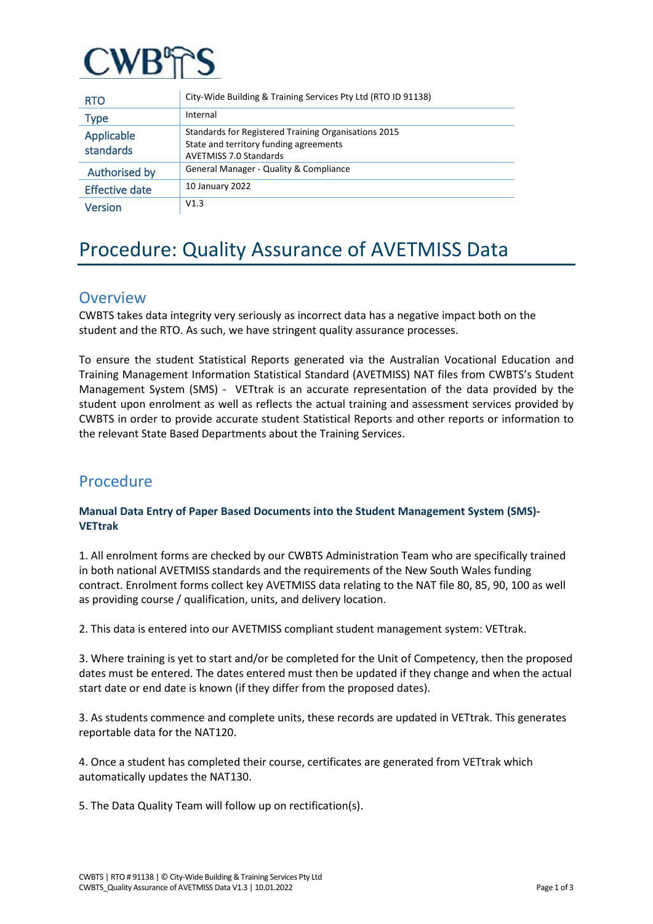

| <b>RTO</b>              | City-Wide Building & Training Services Pty Ltd (RTO ID 91138)                                                                   |
|-------------------------|---------------------------------------------------------------------------------------------------------------------------------|
| <b>Type</b>             | Internal                                                                                                                        |
| Applicable<br>standards | Standards for Registered Training Organisations 2015<br>State and territory funding agreements<br><b>AVETMISS 7.0 Standards</b> |
| Authorised by           | General Manager - Quality & Compliance                                                                                          |
| <b>Effective date</b>   | 10 January 2022                                                                                                                 |
| Version                 | V1.3                                                                                                                            |

# Procedure: Quality Assurance of AVETMISS Data

### **Overview**

CWBTS takes data integrity very seriously as incorrect data has a negative impact both on the student and the RTO. As such, we have stringent quality assurance processes.

To ensure the student Statistical Reports generated via the Australian Vocational Education and Training Management Information Statistical Standard (AVETMISS) NAT files from CWBTS's Student Management System (SMS) - VETtrak is an accurate representation of the data provided by the student upon enrolment as well as reflects the actual training and assessment services provided by CWBTS in order to provide accurate student Statistical Reports and other reports or information to the relevant State Based Departments about the Training Services.

## Procedure

#### **Manual Data Entry of Paper Based Documents into the Student Management System (SMS)- VETtrak**

1. All enrolment forms are checked by our CWBTS Administration Team who are specifically trained in both national AVETMISS standards and the requirements of the New South Wales funding contract. Enrolment forms collect key AVETMISS data relating to the NAT file 80, 85, 90, 100 as well as providing course / qualification, units, and delivery location.

2. This data is entered into our AVETMISS compliant student management system: VETtrak.

3. Where training is yet to start and/or be completed for the Unit of Competency, then the proposed dates must be entered. The dates entered must then be updated if they change and when the actual start date or end date is known (if they differ from the proposed dates).

3. As students commence and complete units, these records are updated in VETtrak. This generates reportable data for the NAT120.

4. Once a student has completed their course, certificates are generated from VETtrak which automatically updates the NAT130.

5. The Data Quality Team will follow up on rectification(s).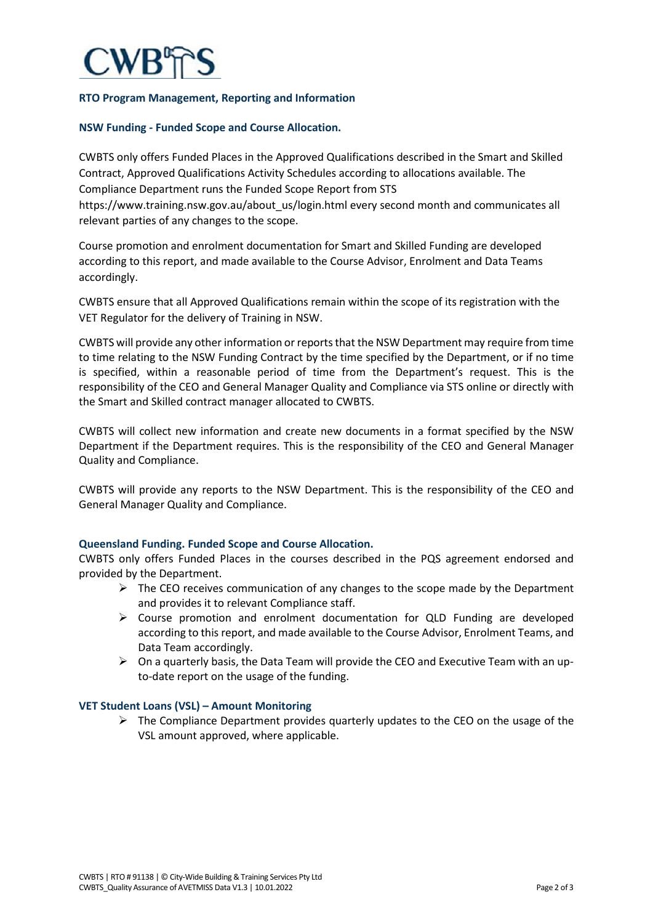

#### **RTO Program Management, Reporting and Information**

#### **NSW Funding - Funded Scope and Course Allocation.**

CWBTS only offers Funded Places in the Approved Qualifications described in the Smart and Skilled Contract, Approved Qualifications Activity Schedules according to allocations available. The Compliance Department runs the Funded Scope Report from STS https://www.training.nsw.gov.au/about\_us/login.html every second month and communicates all relevant parties of any changes to the scope.

Course promotion and enrolment documentation for Smart and Skilled Funding are developed according to this report, and made available to the Course Advisor, Enrolment and Data Teams accordingly.

CWBTS ensure that all Approved Qualifications remain within the scope of its registration with the VET Regulator for the delivery of Training in NSW.

CWBTS will provide any other information or reports that the NSW Department may require from time to time relating to the NSW Funding Contract by the time specified by the Department, or if no time is specified, within a reasonable period of time from the Department's request. This is the responsibility of the CEO and General Manager Quality and Compliance via STS online or directly with the Smart and Skilled contract manager allocated to CWBTS.

CWBTS will collect new information and create new documents in a format specified by the NSW Department if the Department requires. This is the responsibility of the CEO and General Manager Quality and Compliance.

CWBTS will provide any reports to the NSW Department. This is the responsibility of the CEO and General Manager Quality and Compliance.

#### **Queensland Funding. Funded Scope and Course Allocation.**

CWBTS only offers Funded Places in the courses described in the PQS agreement endorsed and provided by the Department.

- $\triangleright$  The CEO receives communication of any changes to the scope made by the Department and provides it to relevant Compliance staff.
- Course promotion and enrolment documentation for QLD Funding are developed according to this report, and made available to the Course Advisor, Enrolment Teams, and Data Team accordingly.
- $\triangleright$  On a quarterly basis, the Data Team will provide the CEO and Executive Team with an upto-date report on the usage of the funding.

#### **VET Student Loans (VSL) – Amount Monitoring**

 $\triangleright$  The Compliance Department provides quarterly updates to the CEO on the usage of the VSL amount approved, where applicable.